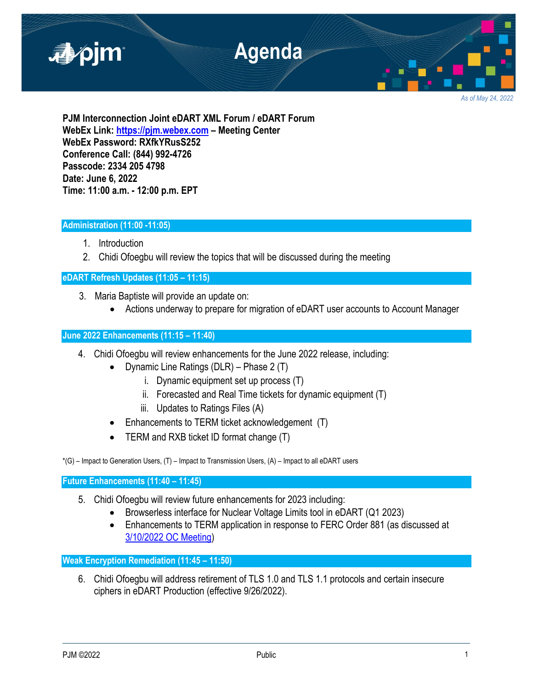

**PJM Interconnection Joint eDART XML Forum / eDART Forum WebEx Link: [https://pjm.webex.com](https://pjm.webex.com/) – Meeting Center WebEx Password: RXfkYRusS252 Conference Call: (844) 992-4726 Passcode: 2334 205 4798 Date: June 6, 2022 Time: 11:00 a.m. - 12:00 p.m. EPT**

# **Administration (11:00 -11:05)**

- 1. Introduction
- 2. Chidi Ofoegbu will review the topics that will be discussed during the meeting

# **eDART Refresh Updates (11:05 – 11:15)**

- 3. Maria Baptiste will provide an update on:
	- Actions underway to prepare for migration of eDART user accounts to Account Manager

# **June 2022 Enhancements (11:15 – 11:40)**

- 4. Chidi Ofoegbu will review enhancements for the June 2022 release, including:
	- Dynamic Line Ratings (DLR) Phase 2 (T)
		- i. Dynamic equipment set up process (T)
		- ii. Forecasted and Real Time tickets for dynamic equipment (T)
		- iii. Updates to Ratings Files (A)
	- Enhancements to TERM ticket acknowledgement (T)
	- TERM and RXB ticket ID format change (T)

 $*(G)$  – Impact to Generation Users,  $(T)$  – Impact to Transmission Users,  $(A)$  – Impact to all eDART users

**Future Enhancements (11:40 – 11:45)**

- 5. Chidi Ofoegbu will review future enhancements for 2023 including:
	- Browserless interface for Nuclear Voltage Limits tool in eDART (Q1 2023)
	- Enhancements to TERM application in response to FERC Order 881 (as discussed at [3/10/2022 OC Meeting\)](https://pjm.com/-/media/committees-groups/committees/oc/2022/20220310/20220310-item-12-managing-transmission-line-ratings-order-no-881-compliance-filing-rm20-16-000-update.ashx)

**Weak Encryption Remediation (11:45 – 11:50)**

6. Chidi Ofoegbu will address retirement of TLS 1.0 and TLS 1.1 protocols and certain insecure ciphers in eDART Production (effective 9/26/2022).